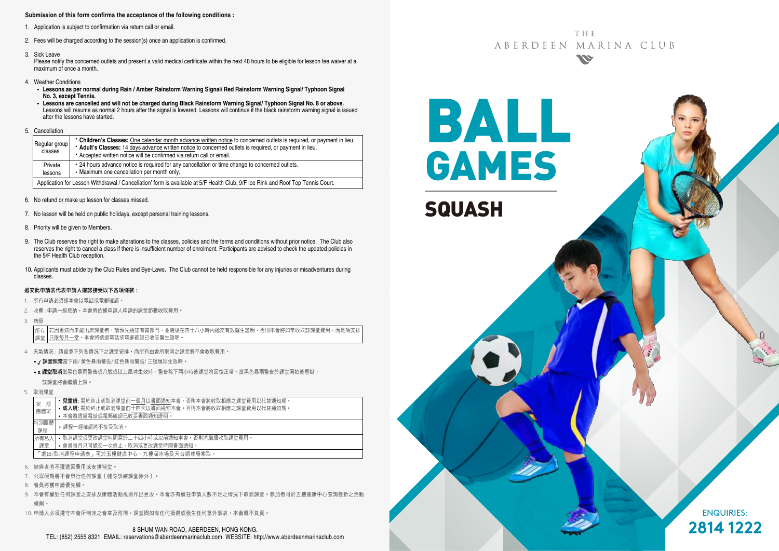#### **Submission of this form confirms the acceptance of the following conditions :**

- 1. Application is subject to confirmation via return call or email.
- 2. Fees will be charged according to the session(s) once an application is confirmed.
- 3. Sick Leave

Please notify the concerned outlets and present a valid medical certificate within the next 48 hours to be eligible for lesson fee waiver at a maximum of once a month.

- 4. Weather Conditions
	- **Lessons as per normal during Rain / Amber Rainstorm Warning Signal/ Red Rainstorm Warning Signal/ Typhoon Signal No. 3, except Tennis.**
	- **Lessons are cancelled and will not be charged during Black Rainstorm Warning Signal/ Typhoon Signal No. 8 or above.** Lessons will resume as normal 2 hours after the signal is lowered. Lessons will continue if the black rainstorm warning signal is issued after the lessons have started.
- 5. Cancellation

| Regular group<br>classes | • Children's Classes: One calendar month advance written notice to concerned outlets is required, or payment in lieu.<br>* Adult's Classes: 14 days advance written notice to concerned outlets is required, or payment in lieu.<br>• Accepted written notice will be confirmed via return call or email. |
|--------------------------|-----------------------------------------------------------------------------------------------------------------------------------------------------------------------------------------------------------------------------------------------------------------------------------------------------------|
| Private<br>lessons       | • 24 hours advance notice is required for any cancellation or time change to concerned outlets.<br>• Maximum one cancellation per month only.                                                                                                                                                             |
|                          | Application for Lesson Withdrawal / Cancellation' form is available at 5/F Health Club, 9/F Ice Rink and Roof Top Tennis Court.                                                                                                                                                                           |

- 6. No refund or make up lesson for classes missed.
- 7. No lesson will be held on public holidays, except personal training lessons.
- 8. Priority will be given to Members.
- 9. The Club reserves the right to make alterations to the classes, policies and the terms and conditions without prior notice. The Club also reserves the right to cancel a class if there is insufficient number of enrolment. Participants are advised to check the updated policies in the 5/F Health Club reception.
- 10. Applicants must abide by the Club Rules and Bye-Laws. The Club cannot be held responsible for any injuries or misadventures during classes.

#### 遞交此申請表代表申請人確認接受以下各項條款 :

- 1. 所有申請必須經本會以電話或電郵確認。
- 2. 收費: 申請一經接納, 本會將依據申請人申請的課堂節數收取費用,
- 3. 病假

若因患病而未能出席課堂者,請預先通知有關部門,並隨後在四十八小時內遞交有效醫生證明,否則本會將如常收取該課堂費用,而是項安排 只限每月一堂。本會將透過電話或電郵確認已收妥醫生證明。 所有 課堂

- 4. 天氣情況 : 請留意下列各情況下之課堂安排,而所有由會所取消之課堂將不會收取費用。
	- / 課堂照常當下雨/ 黃色暴雨警告/ 紅色暴雨警告/ 三號風球生效時。
	- x 課堂取消當黑色暴雨警告或八號或以上風球生效時。警告除下兩小時後課堂將回復正常。當黑色暴雨警告於課堂開始後懸掛, 該課堂將會繼續上課。
- 5. 取消課堂

|                                     | 期<br>定<br>團體班                                    | <b>兒童班:</b> 需於終止或取消課堂前一個月以書面通知本會。否則本會將收取相應之課堂費用以代替通知期。<br>• 成人班: 需於終止或取消課堂前十四天以書面通知本會。否則本會將收取相應之課堂費用以代替通知期。<br>• 本會將诱過電話或電郵確認已收妥書面通知證明。 |  |  |  |  |  |
|-------------------------------------|--------------------------------------------------|-----------------------------------------------------------------------------------------------------------------------------------------|--|--|--|--|--|
| 特別團體<br>• 課程一經確認將不接受取消。<br>課程       |                                                  |                                                                                                                                         |  |  |  |  |  |
|                                     | 所有私人<br>• 取消課堂或更改課堂時間需於二十四小時或以前捅知本會,否則將繼續收取課堂費用。 |                                                                                                                                         |  |  |  |  |  |
|                                     | 課堂                                               | • 會員每月只可遞交一次終止、取消或更改課堂時間書面通知。                                                                                                           |  |  |  |  |  |
| 「狠出/取消課程申請表,可於五樓健康中心、九樓溜冰場及天台網球場索取。 |                                                  |                                                                                                                                         |  |  |  |  |  |
|                                     |                                                  |                                                                                                                                         |  |  |  |  |  |

- 6. 缺席者將不獲退回費用或安排補堂。
- 7. 公眾假期將不會舉行任何課堂﹝健身訓練課堂除外﹞。
- 8. 會員將獲申請優先權。
- 9. 本會有權對任何課堂之安排及康體活動規則作出更改。本會亦有權在申請人數不足之情況下取消課堂。參加者可於五樓健康中心查詢最新之活動 規則。
- 10. 申請人必須遵守本會所制定之會章及附則。課堂間如有任何損傷或發生任何意外事故,本會概不負責。